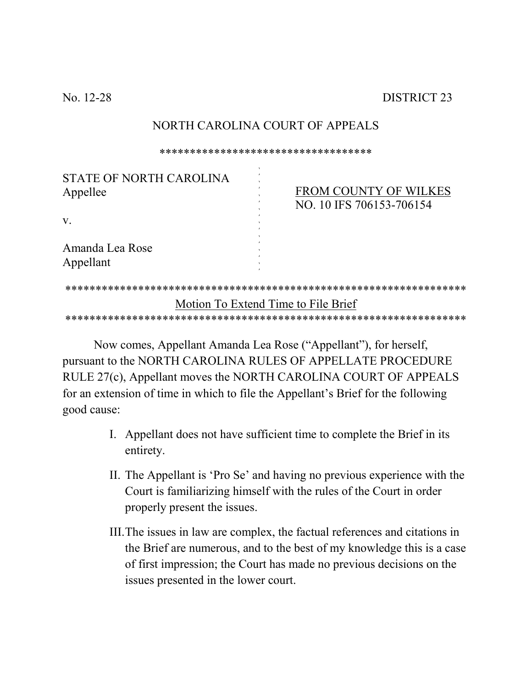No. 12-28

## NORTH CAROLINA COURT OF APPEALS

\*\*\*\*\*\*\*\*\*\*\*\*\*\*\*\*\*\*\*\*\*\*\*\*\*\*\*\*\*\*\*\*\*\*\*

| <b>STATE OF NORTH CAROLINA</b><br>Appellee | <b>FROM COUNTY OF WILKES</b><br>NO. 10 IFS 706153-706154 |
|--------------------------------------------|----------------------------------------------------------|
| V.                                         |                                                          |
| Amanda Lea Rose<br>Appellant               |                                                          |
| *************************                  |                                                          |
|                                            | Motion To Extend Time to File Brief                      |

Now comes, Appellant Amanda Lea Rose ("Appellant"), for herself, pursuant to the NORTH CAROLINA RULES OF APPELLATE PROCEDURE RULE 27(c), Appellant moves the NORTH CAROLINA COURT OF APPEALS for an extension of time in which to file the Appellant's Brief for the following good cause:

- I. Appellant does not have sufficient time to complete the Brief in its entirety.
- II. The Appellant is 'Pro Se' and having no previous experience with the Court is familiarizing himself with the rules of the Court in order properly present the issues.
- III. The issues in law are complex, the factual references and citations in the Brief are numerous, and to the best of my knowledge this is a case of first impression; the Court has made no previous decisions on the issues presented in the lower court.